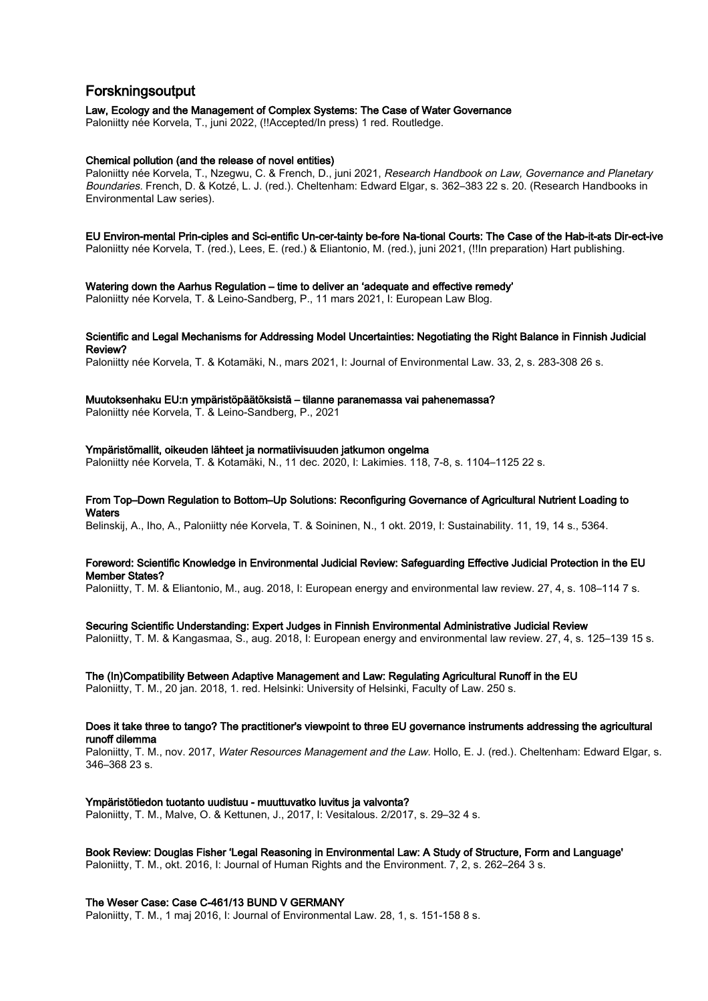# Forskningsoutput

Law, Ecology and the Management of Complex Systems: The Case of Water Governance Paloniitty née Korvela, T., juni 2022, (!!Accepted/In press) 1 red. Routledge.

## Chemical pollution (and the release of novel entities)

Paloniitty née Korvela, T., Nzegwu, C. & French, D., juni 2021, Research Handbook on Law, Governance and Planetary Boundaries. French, D. & Kotzé, L. J. (red.). Cheltenham: Edward Elgar, s. 362–383 22 s. 20. (Research Handbooks in Environmental Law series).

# EU Environ-mental Prin-ciples and Sci-entific Un-cer-tainty be-fore Na-tional Courts: The Case of the Hab-it-ats Dir-ect-ive

Paloniitty née Korvela, T. (red.), Lees, E. (red.) & Eliantonio, M. (red.), juni 2021, (!!In preparation) Hart publishing.

Watering down the Aarhus Regulation – time to deliver an 'adequate and effective remedy'

Paloniitty née Korvela, T. & Leino-Sandberg, P., 11 mars 2021, I: European Law Blog.

## Scientific and Legal Mechanisms for Addressing Model Uncertainties: Negotiating the Right Balance in Finnish Judicial Review?

Paloniitty née Korvela, T. & Kotamäki, N., mars 2021, I: Journal of Environmental Law. 33, 2, s. 283-308 26 s.

## Muutoksenhaku EU:n ympäristöpäätöksistä – tilanne paranemassa vai pahenemassa?

Paloniitty née Korvela, T. & Leino-Sandberg, P., 2021

#### Ympäristömallit, oikeuden lähteet ja normatiivisuuden jatkumon ongelma

Paloniitty née Korvela, T. & Kotamäki, N., 11 dec. 2020, I: Lakimies. 118, 7-8, s. 1104–1125 22 s.

## From Top–Down Regulation to Bottom–Up Solutions: Reconfiguring Governance of Agricultural Nutrient Loading to **Waters**

Belinskij, A., Iho, A., Paloniitty née Korvela, T. & Soininen, N., 1 okt. 2019, I: Sustainability. 11, 19, 14 s., 5364.

## Foreword: Scientific Knowledge in Environmental Judicial Review: Safeguarding Effective Judicial Protection in the EU Member States?

Paloniitty, T. M. & Eliantonio, M., aug. 2018, I: European energy and environmental law review. 27, 4, s. 108–114 7 s.

## Securing Scientific Understanding: Expert Judges in Finnish Environmental Administrative Judicial Review

Paloniitty, T. M. & Kangasmaa, S., aug. 2018, I: European energy and environmental law review. 27, 4, s. 125–139 15 s.

## The (In)Compatibility Between Adaptive Management and Law: Regulating Agricultural Runoff in the EU

Paloniitty, T. M., 20 jan. 2018, 1. red. Helsinki: University of Helsinki, Faculty of Law. 250 s.

## Does it take three to tango? The practitioner's viewpoint to three EU governance instruments addressing the agricultural runoff dilemma

Paloniitty, T. M., nov. 2017, Water Resources Management and the Law. Hollo, E. J. (red.). Cheltenham: Edward Elgar, s. 346–368 23 s.

## Ympäristötiedon tuotanto uudistuu - muuttuvatko luvitus ja valvonta?

Paloniitty, T. M., Malve, O. & Kettunen, J., 2017, I: Vesitalous. 2/2017, s. 29–32 4 s.

## Book Review: Douglas Fisher 'Legal Reasoning in Environmental Law: A Study of Structure, Form and Language'

Paloniitty, T. M., okt. 2016, I: Journal of Human Rights and the Environment. 7, 2, s. 262–264 3 s.

#### The Weser Case: Case C-461/13 BUND V GERMANY

Paloniitty, T. M., 1 maj 2016, I: Journal of Environmental Law. 28, 1, s. 151-158 8 s.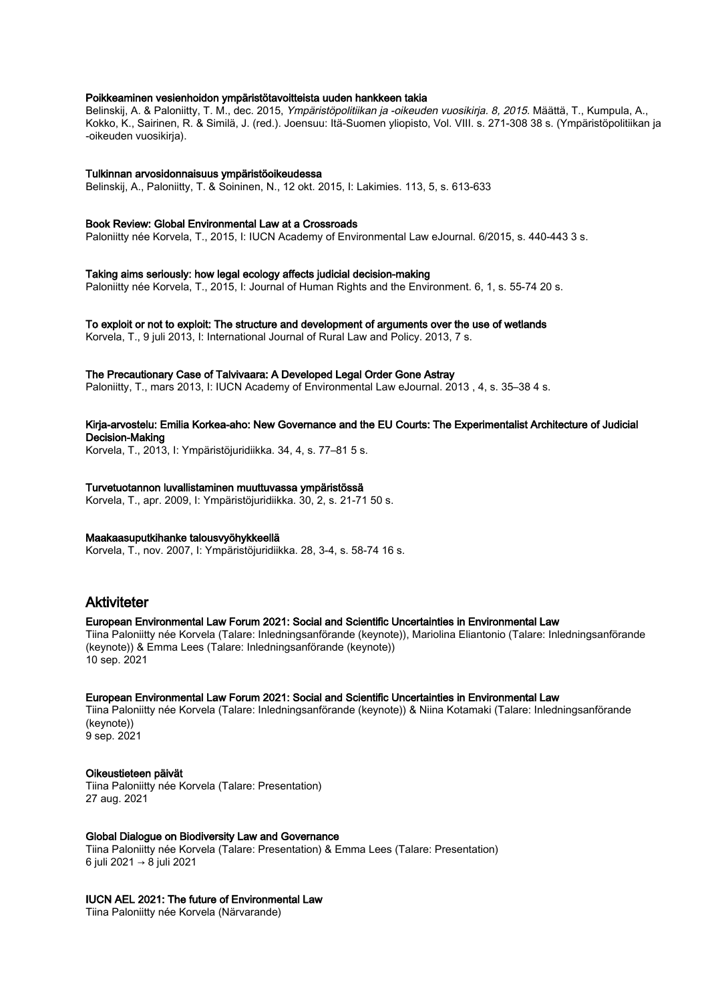## Poikkeaminen vesienhoidon ympäristötavoitteista uuden hankkeen takia

Belinskij, A. & Paloniitty, T. M., dec. 2015, Ympäristöpolitiikan ja -oikeuden vuosikirja. 8, 2015. Määttä, T., Kumpula, A., Kokko, K., Sairinen, R. & Similä, J. (red.). Joensuu: Itä-Suomen yliopisto, Vol. VIII. s. 271-308 38 s. (Ympäristöpolitiikan ja -oikeuden vuosikirja).

## Tulkinnan arvosidonnaisuus ympäristöoikeudessa

Belinskij, A., Paloniitty, T. & Soininen, N., 12 okt. 2015, I: Lakimies. 113, 5, s. 613-633

## Book Review: Global Environmental Law at a Crossroads

Paloniitty née Korvela, T., 2015, I: IUCN Academy of Environmental Law eJournal. 6/2015, s. 440-443 3 s.

## Taking aims seriously: how legal ecology affects judicial decision-making

Paloniitty née Korvela, T., 2015, I: Journal of Human Rights and the Environment. 6, 1, s. 55-74 20 s.

#### To exploit or not to exploit: The structure and development of arguments over the use of wetlands

Korvela, T., 9 juli 2013, I: International Journal of Rural Law and Policy. 2013, 7 s.

#### The Precautionary Case of Talvivaara: A Developed Legal Order Gone Astray

Paloniitty, T., mars 2013, I: IUCN Academy of Environmental Law eJournal. 2013 , 4, s. 35–38 4 s.

## Kirja-arvostelu: Emilia Korkea-aho: New Governance and the EU Courts: The Experimentalist Architecture of Judicial Decision-Making

Korvela, T., 2013, I: Ympäristöjuridiikka. 34, 4, s. 77–81 5 s.

## Turvetuotannon luvallistaminen muuttuvassa ympäristössä

Korvela, T., apr. 2009, I: Ympäristöjuridiikka. 30, 2, s. 21-71 50 s.

## Maakaasuputkihanke talousvyöhykkeellä

Korvela, T., nov. 2007, I: Ympäristöjuridiikka. 28, 3-4, s. 58-74 16 s.

# Aktiviteter

## European Environmental Law Forum 2021: Social and Scientific Uncertainties in Environmental Law

Tiina Paloniitty née Korvela (Talare: Inledningsanförande (keynote)), Mariolina Eliantonio (Talare: Inledningsanförande (keynote)) & Emma Lees (Talare: Inledningsanförande (keynote)) 10 sep. 2021

#### European Environmental Law Forum 2021: Social and Scientific Uncertainties in Environmental Law

Tiina Paloniitty née Korvela (Talare: Inledningsanförande (keynote)) & Niina Kotamaki (Talare: Inledningsanförande (keynote)) 9 sep. 2021

## Oikeustieteen päivät

Tiina Paloniitty née Korvela (Talare: Presentation) 27 aug. 2021

## Global Dialogue on Biodiversity Law and Governance

Tiina Paloniitty née Korvela (Talare: Presentation) & Emma Lees (Talare: Presentation) 6 juli 2021 → 8 juli 2021

#### IUCN AEL 2021: The future of Environmental Law

Tiina Paloniitty née Korvela (Närvarande)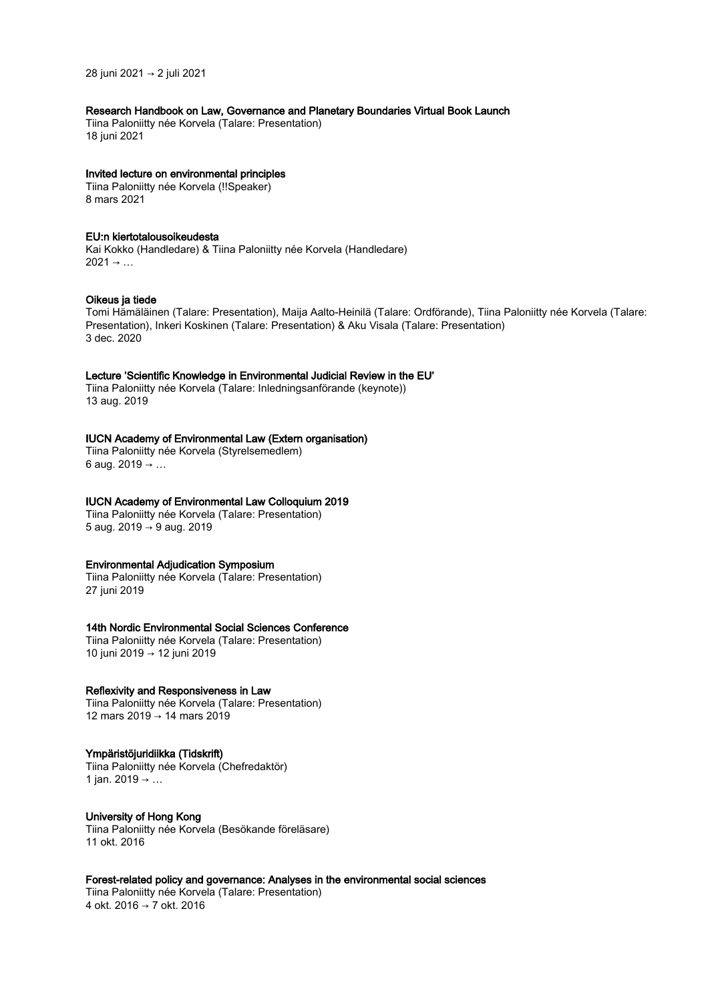28 juni 2021 → 2 juli 2021

# Research Handbook on Law, Governance and Planetary Boundaries Virtual Book Launch

Tiina Paloniitty née Korvela (Talare: Presentation) 18 juni 2021

## Invited lecture on environmental principles

Tiina Paloniitty née Korvela (!!Speaker) 8 mars 2021

## EU:n kiertotalousoikeudesta

Kai Kokko (Handledare) & Tiina Paloniitty née Korvela (Handledare)  $2021 \rightarrow ...$ 

## Oikeus ja tiede

Tomi Hämäläinen (Talare: Presentation), Maija Aalto-Heinilä (Talare: Ordförande), Tiina Paloniitty née Korvela (Talare: Presentation), Inkeri Koskinen (Talare: Presentation) & Aku Visala (Talare: Presentation) 3 dec. 2020

## Lecture 'Scientific Knowledge in Environmental Judicial Review in the EU'

Tiina Paloniitty née Korvela (Talare: Inledningsanförande (keynote)) 13 aug. 2019

# IUCN Academy of Environmental Law (Extern organisation)

Tiina Paloniitty née Korvela (Styrelsemedlem) 6 aug. 2019 → ...

# IUCN Academy of Environmental Law Colloquium 2019

Tiina Paloniitty née Korvela (Talare: Presentation) 5 aug. 2019 → 9 aug. 2019

## Environmental Adjudication Symposium

Tiina Paloniitty née Korvela (Talare: Presentation) 27 juni 2019

## 14th Nordic Environmental Social Sciences Conference

Tiina Paloniitty née Korvela (Talare: Presentation) 10 juni 2019 → 12 juni 2019

## Reflexivity and Responsiveness in Law

Tiina Paloniitty née Korvela (Talare: Presentation) 12 mars 2019 → 14 mars 2019

## Ympäristöjuridiikka (Tidskrift)

Tiina Paloniitty née Korvela (Chefredaktör) 1 jan. 2019 → …

## University of Hong Kong

Tiina Paloniitty née Korvela (Besökande föreläsare) 11 okt. 2016

# Forest-related policy and governance: Analyses in the environmental social sciences

Tiina Paloniitty née Korvela (Talare: Presentation) 4 okt. 2016 → 7 okt. 2016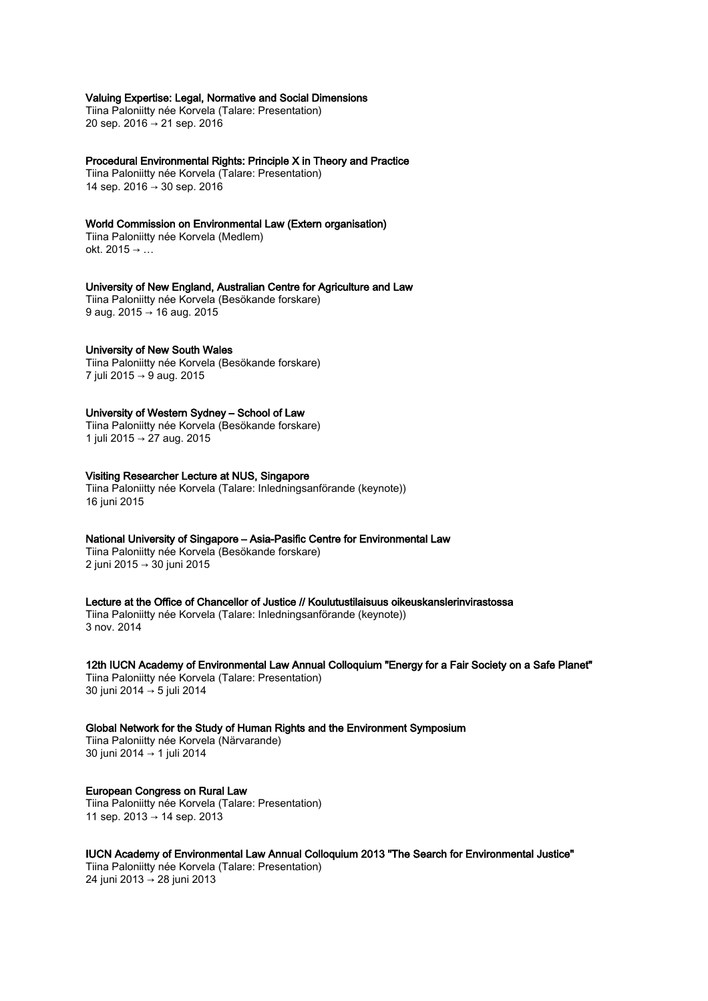## Valuing Expertise: Legal, Normative and Social Dimensions

Tiina Paloniitty née Korvela (Talare: Presentation) 20 sep. 2016 → 21 sep. 2016

### Procedural Environmental Rights: Principle X in Theory and Practice

Tiina Paloniitty née Korvela (Talare: Presentation) 14 sep. 2016 → 30 sep. 2016

## World Commission on Environmental Law (Extern organisation)

Tiina Paloniitty née Korvela (Medlem) okt. 2015 → …

# University of New England, Australian Centre for Agriculture and Law

Tiina Paloniitty née Korvela (Besökande forskare) 9 aug. 2015 → 16 aug. 2015

#### University of New South Wales

Tiina Paloniitty née Korvela (Besökande forskare) 7 juli 2015 → 9 aug. 2015

## University of Western Sydney – School of Law

Tiina Paloniitty née Korvela (Besökande forskare) 1 juli 2015 → 27 aug. 2015

## Visiting Researcher Lecture at NUS, Singapore

Tiina Paloniitty née Korvela (Talare: Inledningsanförande (keynote)) 16 juni 2015

# National University of Singapore – Asia-Pasific Centre for Environmental Law

Tiina Paloniitty née Korvela (Besökande forskare) 2 juni 2015 → 30 juni 2015

#### Lecture at the Office of Chancellor of Justice // Koulutustilaisuus oikeuskanslerinvirastossa Tiina Paloniitty née Korvela (Talare: Inledningsanförande (keynote)) 3 nov. 2014

12th IUCN Academy of Environmental Law Annual Colloquium "Energy for a Fair Society on a Safe Planet" Tiina Paloniitty née Korvela (Talare: Presentation) 30 juni 2014 → 5 juli 2014

Global Network for the Study of Human Rights and the Environment Symposium Tiina Paloniitty née Korvela (Närvarande) 30 juni 2014 → 1 juli 2014

## European Congress on Rural Law Tiina Paloniitty née Korvela (Talare: Presentation) 11 sep. 2013 → 14 sep. 2013

## IUCN Academy of Environmental Law Annual Colloquium 2013 "The Search for Environmental Justice"

Tiina Paloniitty née Korvela (Talare: Presentation) 24 juni 2013 → 28 juni 2013